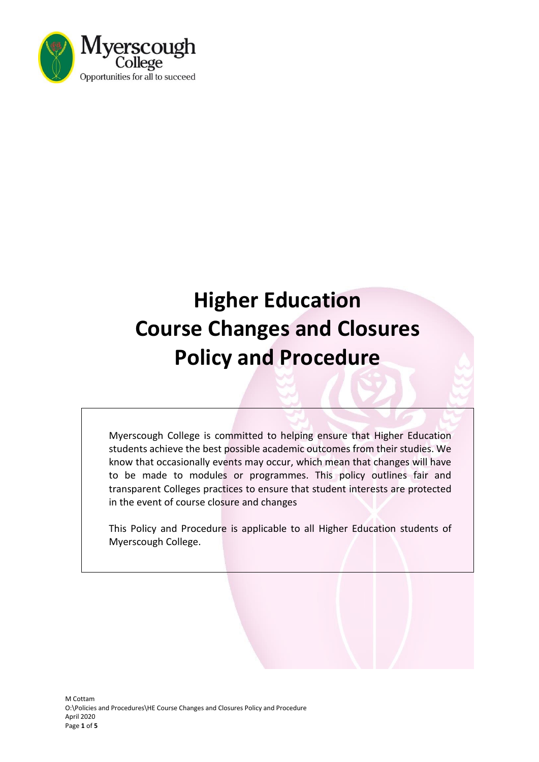

# **Higher Education Course Changes and Closures Policy and Procedure**

Myerscough College is committed to helping ensure that Higher Education students achieve the best possible academic outcomes from their studies. We know that occasionally events may occur, which mean that changes will have to be made to modules or programmes. This policy outlines fair and transparent Colleges practices to ensure that student interests are protected in the event of course closure and changes

This Policy and Procedure is applicable to all Higher Education students of Myerscough College.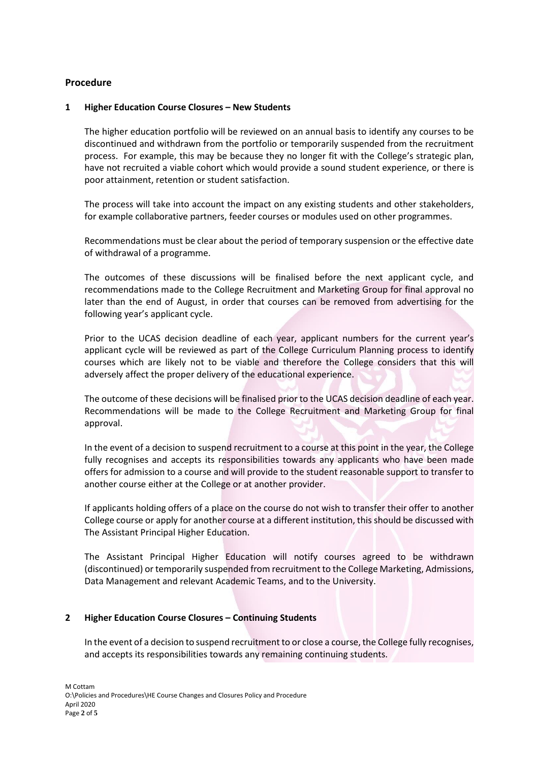## **Procedure**

#### **1 Higher Education Course Closures – New Students**

The higher education portfolio will be reviewed on an annual basis to identify any courses to be discontinued and withdrawn from the portfolio or temporarily suspended from the recruitment process. For example, this may be because they no longer fit with the College's strategic plan, have not recruited a viable cohort which would provide a sound student experience, or there is poor attainment, retention or student satisfaction.

The process will take into account the impact on any existing students and other stakeholders, for example collaborative partners, feeder courses or modules used on other programmes.

Recommendations must be clear about the period of temporary suspension or the effective date of withdrawal of a programme.

The outcomes of these discussions will be finalised before the next applicant cycle, and recommendations made to the College Recruitment and Marketing Group for final approval no later than the end of August, in order that courses can be removed from advertising for the following year's applicant cycle.

Prior to the UCAS decision deadline of each year, applicant numbers for the current year's applicant cycle will be reviewed as part of the College Curriculum Planning process to identify courses which are likely not to be viable and therefore the College considers that this will adversely affect the proper delivery of the educational experience.

The outcome of these decisions will be finalised prior to the UCAS decision deadline of each year. Recommendations will be made to the College Recruitment and Marketing Group for final approval.

In the event of a decision to suspend recruitment to a course at this point in the year, the College fully recognises and accepts its responsibilities towards any applicants who have been made offers for admission to a course and will provide to the student reasonable support to transfer to another course either at the College or at another provider.

If applicants holding offers of a place on the course do not wish to transfer their offer to another College course or apply for another course at a different institution, this should be discussed with The Assistant Principal Higher Education.

The Assistant Principal Higher Education will notify courses agreed to be withdrawn (discontinued) or temporarily suspended from recruitment to the College Marketing, Admissions, Data Management and relevant Academic Teams, and to the University.

## **2 Higher Education Course Closures – Continuing Students**

In the event of a decision to suspend recruitment to or close a course, the College fully recognises, and accepts its responsibilities towards any remaining continuing students.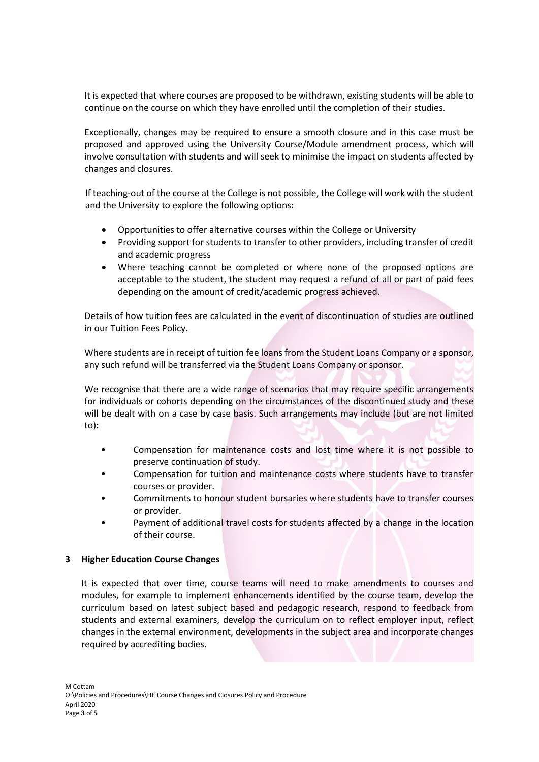It is expected that where courses are proposed to be withdrawn, existing students will be able to continue on the course on which they have enrolled until the completion of their studies.

Exceptionally, changes may be required to ensure a smooth closure and in this case must be proposed and approved using the University Course/Module amendment process, which will involve consultation with students and will seek to minimise the impact on students affected by changes and closures.

If teaching-out of the course at the College is not possible, the College will work with the student and the University to explore the following options:

- Opportunities to offer alternative courses within the College or University
- Providing support for students to transfer to other providers, including transfer of credit and academic progress
- Where teaching cannot be completed or where none of the proposed options are acceptable to the student, the student may request a refund of all or part of paid fees depending on the amount of credit/academic progress achieved.

Details of how tuition fees are calculated in the event of discontinuation of studies are outlined in our Tuition Fees Policy.

Where students are in receipt of tuition fee loans from the Student Loans Company or a sponsor, any such refund will be transferred via the Student Loans Company or sponsor.

We recognise that there are a wide range of scenarios that may require specific arrangements for individuals or cohorts depending on the circumstances of the discontinued study and these will be dealt with on a case by case basis. Such arrangements may include (but are not limited to):

- Compensation for maintenance costs and lost time where it is not possible to preserve continuation of study.
- Compensation for tuition and maintenance costs where students have to transfer courses or provider.
- Commitments to honour student bursaries where students have to transfer courses or provider.
- Payment of additional travel costs for students affected by a change in the location of their course.

## **3 Higher Education Course Changes**

It is expected that over time, course teams will need to make amendments to courses and modules, for example to implement enhancements identified by the course team, develop the curriculum based on latest subject based and pedagogic research, respond to feedback from students and external examiners, develop the curriculum on to reflect employer input, reflect changes in the external environment, developments in the subject area and incorporate changes required by accrediting bodies.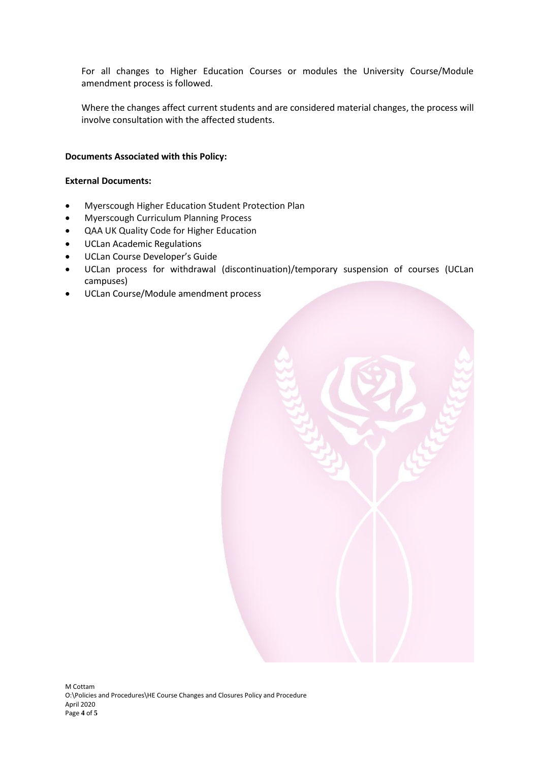For all changes to Higher Education Courses or modules the University Course/Module amendment process is followed.

Where the changes affect current students and are considered material changes, the process will involve consultation with the affected students.

## **Documents Associated with this Policy:**

#### **External Documents:**

- Myerscough Higher Education Student Protection Plan
- Myerscough Curriculum Planning Process
- QAA UK Quality Code for Higher Education
- UCLan Academic Regulations
- UCLan Course Developer's Guide
- UCLan process for withdrawal (discontinuation)/temporary suspension of courses (UCLan campuses)
- UCLan Course/Module amendment process